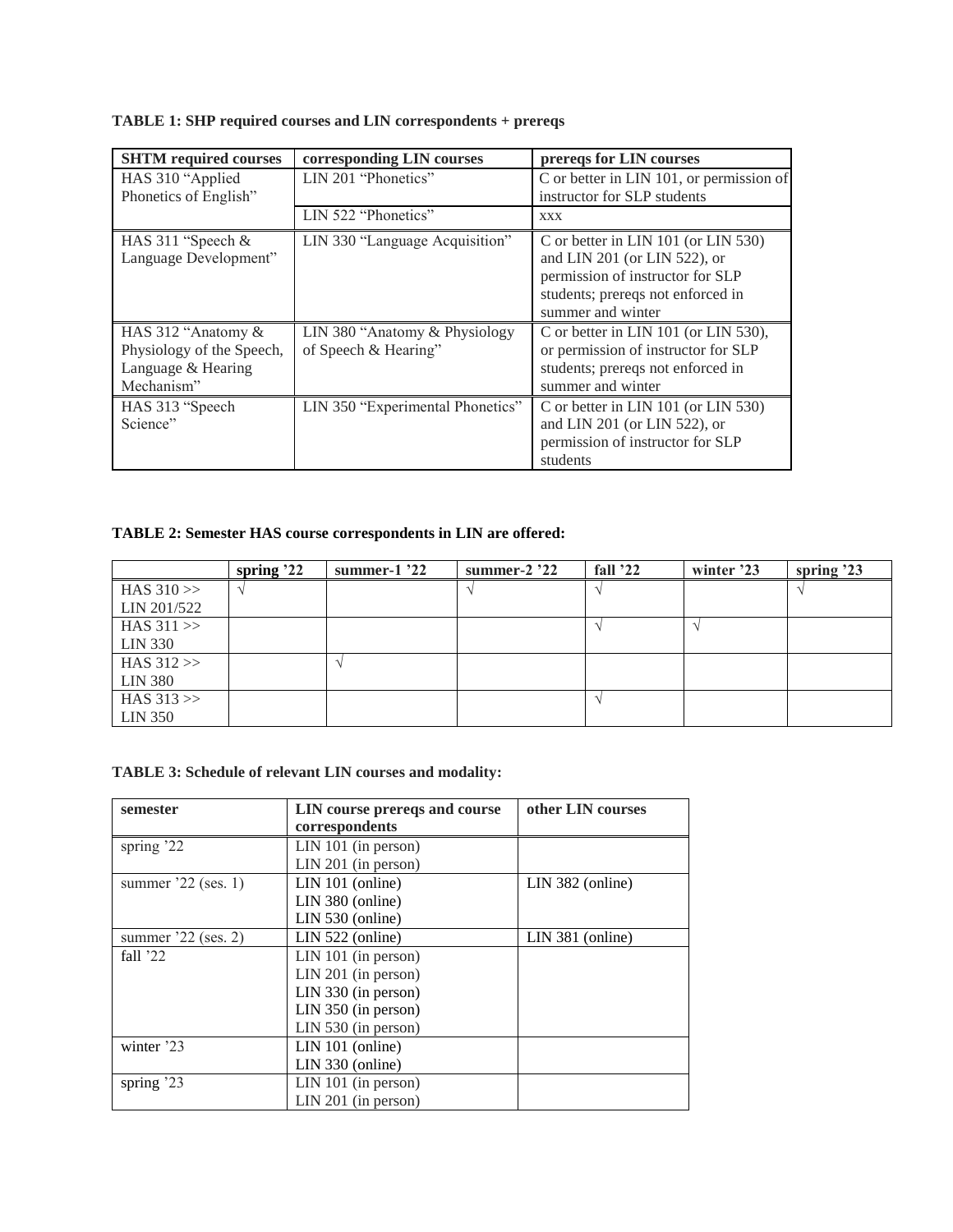| <b>SHTM</b> required courses | corresponding LIN courses        | prereqs for LIN courses                  |  |
|------------------------------|----------------------------------|------------------------------------------|--|
| HAS 310 "Applied"            | LIN 201 "Phonetics"              | C or better in LIN 101, or permission of |  |
| Phonetics of English"        |                                  | instructor for SLP students              |  |
|                              | LIN 522 "Phonetics"              | <b>XXX</b>                               |  |
| HAS 311 "Speech &            | LIN 330 "Language Acquisition"   | C or better in LIN 101 (or LIN 530)      |  |
| Language Development"        |                                  | and LIN 201 (or LIN 522), or             |  |
|                              |                                  | permission of instructor for SLP         |  |
|                              |                                  | students; prereqs not enforced in        |  |
|                              |                                  | summer and winter                        |  |
| HAS 312 "Anatomy &           | LIN 380 "Anatomy & Physiology"   | C or better in LIN 101 (or LIN 530),     |  |
| Physiology of the Speech,    | of Speech & Hearing"             | or permission of instructor for SLP      |  |
| Language & Hearing           |                                  | students; prereqs not enforced in        |  |
| Mechanism"                   |                                  | summer and winter                        |  |
| HAS 313 "Speech              | LIN 350 "Experimental Phonetics" | C or better in LIN 101 (or LIN 530)      |  |
| Science"                     |                                  | and LIN 201 (or LIN 522), or             |  |
|                              |                                  | permission of instructor for SLP         |  |
|                              |                                  | students                                 |  |

## **TABLE 1: SHP required courses and LIN correspondents + prereqs**

## **TABLE 2: Semester HAS course correspondents in LIN are offered:**

|                | spring $22$ | summer-1 $'22$ | summer- $2'22$ | fall $22$ | winter '23 | spring $23$ |
|----------------|-------------|----------------|----------------|-----------|------------|-------------|
| HAS $310 \gg$  |             |                |                |           |            |             |
| LIN 201/522    |             |                |                |           |            |             |
| HAS $311 \gg$  |             |                |                |           |            |             |
| LIN 330        |             |                |                |           |            |             |
| HAS $312 \gg$  |             |                |                |           |            |             |
| <b>LIN 380</b> |             |                |                |           |            |             |
| HAS $313 \gg$  |             |                |                |           |            |             |
| LIN 350        |             |                |                |           |            |             |

## **TABLE 3: Schedule of relevant LIN courses and modality:**

| semester             | LIN course prereqs and course | other LIN courses |  |
|----------------------|-------------------------------|-------------------|--|
|                      | correspondents                |                   |  |
| spring '22           | $LIN 101$ (in person)         |                   |  |
|                      | $LIN 201$ (in person)         |                   |  |
| summer $22$ (ses. 1) | $LIN 101$ (online)            | LIN 382 (online)  |  |
|                      | LIN 380 (online)              |                   |  |
|                      | LIN 530 (online)              |                   |  |
| summer $22$ (ses. 2) | LIN 522 (online)              | LIN 381 (online)  |  |
| fall $22$            | $LIN 101$ (in person)         |                   |  |
|                      | LIN 201 (in person)           |                   |  |
|                      | $LIN$ 330 (in person)         |                   |  |
|                      | $LIN 350$ (in person)         |                   |  |
|                      | LIN 530 (in person)           |                   |  |
| winter '23           | $LIN 101$ (online)            |                   |  |
|                      | LIN 330 (online)              |                   |  |
| spring '23           | $LIN 101$ (in person)         |                   |  |
|                      | $LIN 201$ (in person)         |                   |  |